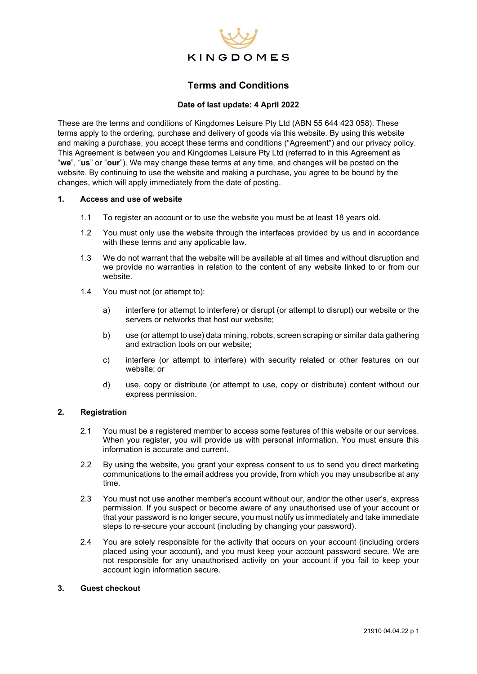

# **Terms and Conditions**

# **Date of last update: 4 April 2022**

These are the terms and conditions of Kingdomes Leisure Pty Ltd (ABN 55 644 423 058). These terms apply to the ordering, purchase and delivery of goods via this website. By using this website and making a purchase, you accept these terms and conditions ("Agreement") and our privacy policy. This Agreement is between you and Kingdomes Leisure Pty Ltd (referred to in this Agreement as "**we**", "**us**" or "**our**"). We may change these terms at any time, and changes will be posted on the website. By continuing to use the website and making a purchase, you agree to be bound by the changes, which will apply immediately from the date of posting.

## **1. Access and use of website**

- 1.1 To register an account or to use the website you must be at least 18 years old.
- 1.2 You must only use the website through the interfaces provided by us and in accordance with these terms and any applicable law.
- 1.3 We do not warrant that the website will be available at all times and without disruption and we provide no warranties in relation to the content of any website linked to or from our website.
- 1.4 You must not (or attempt to):
	- a) interfere (or attempt to interfere) or disrupt (or attempt to disrupt) our website or the servers or networks that host our website;
	- b) use (or attempt to use) data mining, robots, screen scraping or similar data gathering and extraction tools on our website;
	- c) interfere (or attempt to interfere) with security related or other features on our website; or
	- d) use, copy or distribute (or attempt to use, copy or distribute) content without our express permission.

### **2. Registration**

- 2.1 You must be a registered member to access some features of this website or our services. When you register, you will provide us with personal information. You must ensure this information is accurate and current.
- 2.2 By using the website, you grant your express consent to us to send you direct marketing communications to the email address you provide, from which you may unsubscribe at any time.
- 2.3 You must not use another member's account without our, and/or the other user's, express permission. If you suspect or become aware of any unauthorised use of your account or that your password is no longer secure, you must notify us immediately and take immediate steps to re-secure your account (including by changing your password).
- 2.4 You are solely responsible for the activity that occurs on your account (including orders placed using your account), and you must keep your account password secure. We are not responsible for any unauthorised activity on your account if you fail to keep your account login information secure.

# **3. Guest checkout**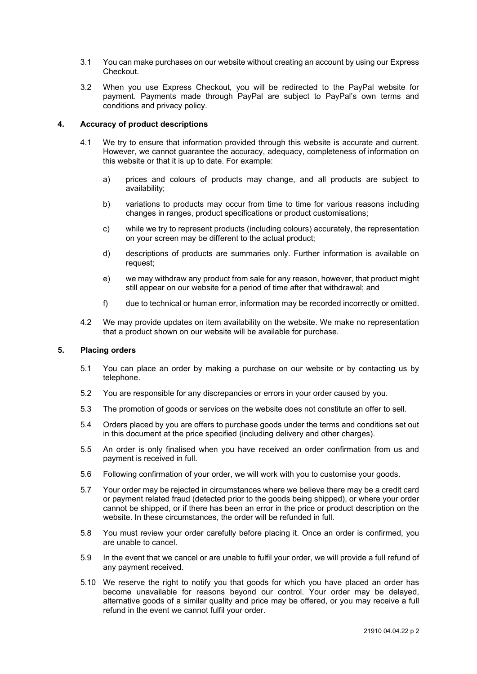- 3.1 You can make purchases on our website without creating an account by using our Express Checkout.
- 3.2 When you use Express Checkout, you will be redirected to the PayPal website for payment. Payments made through PayPal are subject to PayPal's own terms and conditions and privacy policy.

### **4. Accuracy of product descriptions**

- 4.1 We try to ensure that information provided through this website is accurate and current. However, we cannot guarantee the accuracy, adequacy, completeness of information on this website or that it is up to date. For example:
	- a) prices and colours of products may change, and all products are subject to availability;
	- b) variations to products may occur from time to time for various reasons including changes in ranges, product specifications or product customisations;
	- c) while we try to represent products (including colours) accurately, the representation on your screen may be different to the actual product;
	- d) descriptions of products are summaries only. Further information is available on request;
	- e) we may withdraw any product from sale for any reason, however, that product might still appear on our website for a period of time after that withdrawal; and
	- f) due to technical or human error, information may be recorded incorrectly or omitted.
- 4.2 We may provide updates on item availability on the website. We make no representation that a product shown on our website will be available for purchase.

### **5. Placing orders**

- 5.1 You can place an order by making a purchase on our website or by contacting us by telephone.
- 5.2 You are responsible for any discrepancies or errors in your order caused by you.
- 5.3 The promotion of goods or services on the website does not constitute an offer to sell.
- 5.4 Orders placed by you are offers to purchase goods under the terms and conditions set out in this document at the price specified (including delivery and other charges).
- 5.5 An order is only finalised when you have received an order confirmation from us and payment is received in full.
- 5.6 Following confirmation of your order, we will work with you to customise your goods.
- 5.7 Your order may be rejected in circumstances where we believe there may be a credit card or payment related fraud (detected prior to the goods being shipped), or where your order cannot be shipped, or if there has been an error in the price or product description on the website. In these circumstances, the order will be refunded in full.
- 5.8 You must review your order carefully before placing it. Once an order is confirmed, you are unable to cancel.
- 5.9 In the event that we cancel or are unable to fulfil your order, we will provide a full refund of any payment received.
- 5.10 We reserve the right to notify you that goods for which you have placed an order has become unavailable for reasons beyond our control. Your order may be delayed, alternative goods of a similar quality and price may be offered, or you may receive a full refund in the event we cannot fulfil your order.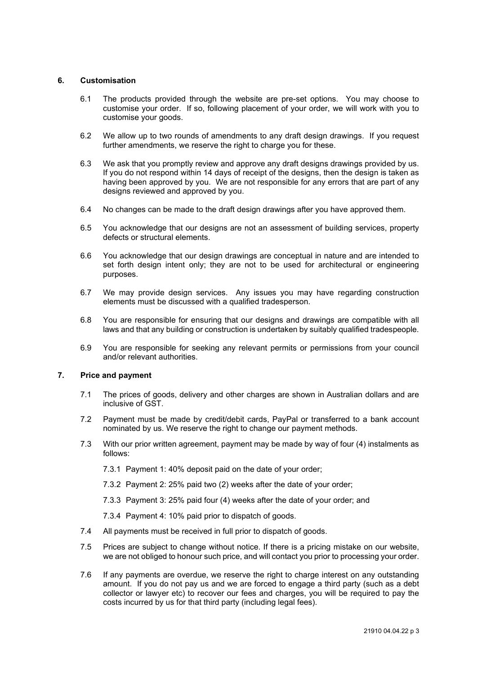## **6. Customisation**

- 6.1 The products provided through the website are pre-set options. You may choose to customise your order. If so, following placement of your order, we will work with you to customise your goods.
- 6.2 We allow up to two rounds of amendments to any draft design drawings. If you request further amendments, we reserve the right to charge you for these.
- 6.3 We ask that you promptly review and approve any draft designs drawings provided by us. If you do not respond within 14 days of receipt of the designs, then the design is taken as having been approved by you. We are not responsible for any errors that are part of any designs reviewed and approved by you.
- 6.4 No changes can be made to the draft design drawings after you have approved them.
- 6.5 You acknowledge that our designs are not an assessment of building services, property defects or structural elements.
- 6.6 You acknowledge that our design drawings are conceptual in nature and are intended to set forth design intent only; they are not to be used for architectural or engineering purposes.
- 6.7 We may provide design services. Any issues you may have regarding construction elements must be discussed with a qualified tradesperson.
- 6.8 You are responsible for ensuring that our designs and drawings are compatible with all laws and that any building or construction is undertaken by suitably qualified tradespeople.
- 6.9 You are responsible for seeking any relevant permits or permissions from your council and/or relevant authorities.

### **7. Price and payment**

- 7.1 The prices of goods, delivery and other charges are shown in Australian dollars and are inclusive of GST.
- 7.2 Payment must be made by credit/debit cards, PayPal or transferred to a bank account nominated by us. We reserve the right to change our payment methods.
- 7.3 With our prior written agreement, payment may be made by way of four (4) instalments as follows:
	- 7.3.1 Payment 1: 40% deposit paid on the date of your order;
	- 7.3.2 Payment 2: 25% paid two (2) weeks after the date of your order;
	- 7.3.3 Payment 3: 25% paid four (4) weeks after the date of your order; and
	- 7.3.4 Payment 4: 10% paid prior to dispatch of goods.
- 7.4 All payments must be received in full prior to dispatch of goods.
- 7.5 Prices are subject to change without notice. If there is a pricing mistake on our website, we are not obliged to honour such price, and will contact you prior to processing your order.
- 7.6 If any payments are overdue, we reserve the right to charge interest on any outstanding amount. If you do not pay us and we are forced to engage a third party (such as a debt collector or lawyer etc) to recover our fees and charges, you will be required to pay the costs incurred by us for that third party (including legal fees).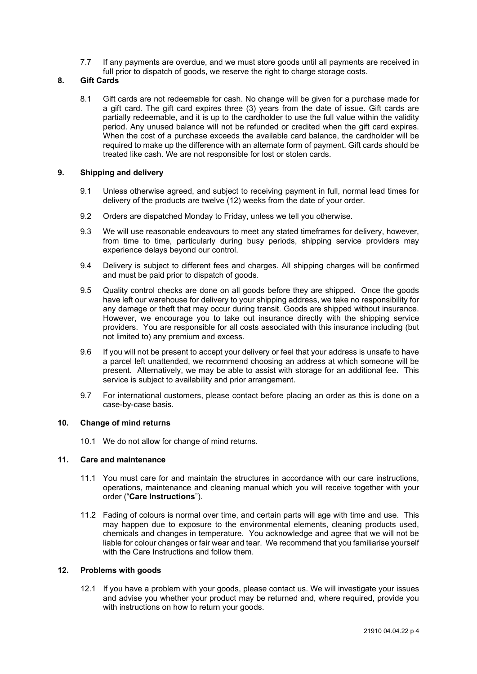7.7 If any payments are overdue, and we must store goods until all payments are received in full prior to dispatch of goods, we reserve the right to charge storage costs.

# **8. Gift Cards**

8.1 Gift cards are not redeemable for cash. No change will be given for a purchase made for a gift card. The gift card expires three (3) years from the date of issue. Gift cards are partially redeemable, and it is up to the cardholder to use the full value within the validity period. Any unused balance will not be refunded or credited when the gift card expires. When the cost of a purchase exceeds the available card balance, the cardholder will be required to make up the difference with an alternate form of payment. Gift cards should be treated like cash. We are not responsible for lost or stolen cards.

# **9. Shipping and delivery**

- 9.1 Unless otherwise agreed, and subject to receiving payment in full, normal lead times for delivery of the products are twelve (12) weeks from the date of your order.
- 9.2 Orders are dispatched Monday to Friday, unless we tell you otherwise.
- 9.3 We will use reasonable endeavours to meet any stated timeframes for delivery, however, from time to time, particularly during busy periods, shipping service providers may experience delays beyond our control.
- 9.4 Delivery is subject to different fees and charges. All shipping charges will be confirmed and must be paid prior to dispatch of goods.
- 9.5 Quality control checks are done on all goods before they are shipped. Once the goods have left our warehouse for delivery to your shipping address, we take no responsibility for any damage or theft that may occur during transit. Goods are shipped without insurance. However, we encourage you to take out insurance directly with the shipping service providers. You are responsible for all costs associated with this insurance including (but not limited to) any premium and excess.
- 9.6 If you will not be present to accept your delivery or feel that your address is unsafe to have a parcel left unattended, we recommend choosing an address at which someone will be present. Alternatively, we may be able to assist with storage for an additional fee. This service is subject to availability and prior arrangement.
- 9.7 For international customers, please contact before placing an order as this is done on a case-by-case basis.

### **10. Change of mind returns**

10.1 We do not allow for change of mind returns.

# **11. Care and maintenance**

- 11.1 You must care for and maintain the structures in accordance with our care instructions, operations, maintenance and cleaning manual which you will receive together with your order ("**Care Instructions**").
- 11.2 Fading of colours is normal over time, and certain parts will age with time and use. This may happen due to exposure to the environmental elements, cleaning products used, chemicals and changes in temperature. You acknowledge and agree that we will not be liable for colour changes or fair wear and tear. We recommend that you familiarise yourself with the Care Instructions and follow them.

### **12. Problems with goods**

12.1 If you have a problem with your goods, please contact us. We will investigate your issues and advise you whether your product may be returned and, where required, provide you with instructions on how to return your goods.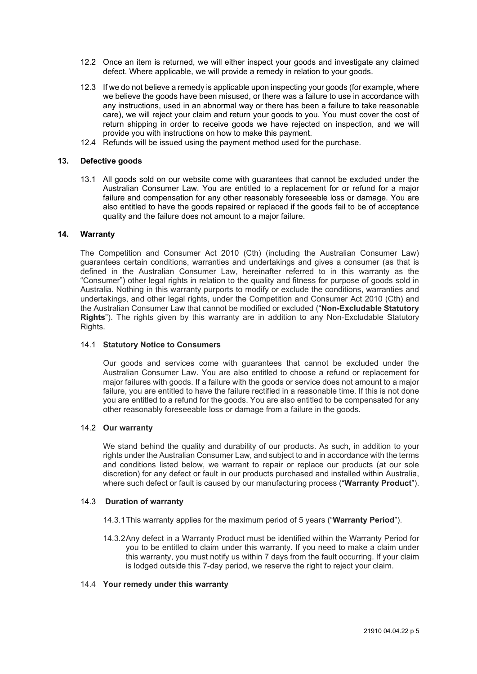- 12.2 Once an item is returned, we will either inspect your goods and investigate any claimed defect. Where applicable, we will provide a remedy in relation to your goods.
- 12.3 If we do not believe a remedy is applicable upon inspecting your goods (for example, where we believe the goods have been misused, or there was a failure to use in accordance with any instructions, used in an abnormal way or there has been a failure to take reasonable care), we will reject your claim and return your goods to you. You must cover the cost of return shipping in order to receive goods we have rejected on inspection, and we will provide you with instructions on how to make this payment.
- 12.4 Refunds will be issued using the payment method used for the purchase.

#### **13. Defective goods**

13.1 All goods sold on our website come with guarantees that cannot be excluded under the Australian Consumer Law. You are entitled to a replacement for or refund for a major failure and compensation for any other reasonably foreseeable loss or damage. You are also entitled to have the goods repaired or replaced if the goods fail to be of acceptance quality and the failure does not amount to a major failure.

# **14. Warranty**

The Competition and Consumer Act 2010 (Cth) (including the Australian Consumer Law) guarantees certain conditions, warranties and undertakings and gives a consumer (as that is defined in the Australian Consumer Law, hereinafter referred to in this warranty as the "Consumer") other legal rights in relation to the quality and fitness for purpose of goods sold in Australia. Nothing in this warranty purports to modify or exclude the conditions, warranties and undertakings, and other legal rights, under the Competition and Consumer Act 2010 (Cth) and the Australian Consumer Law that cannot be modified or excluded ("**Non-Excludable Statutory Rights**"). The rights given by this warranty are in addition to any Non-Excludable Statutory Rights.

#### 14.1 **Statutory Notice to Consumers**

Our goods and services come with guarantees that cannot be excluded under the Australian Consumer Law. You are also entitled to choose a refund or replacement for major failures with goods. If a failure with the goods or service does not amount to a major failure, you are entitled to have the failure rectified in a reasonable time. If this is not done you are entitled to a refund for the goods. You are also entitled to be compensated for any other reasonably foreseeable loss or damage from a failure in the goods.

# 14.2 **Our warranty**

We stand behind the quality and durability of our products. As such, in addition to your rights under the Australian Consumer Law, and subject to and in accordance with the terms and conditions listed below, we warrant to repair or replace our products (at our sole discretion) for any defect or fault in our products purchased and installed within Australia, where such defect or fault is caused by our manufacturing process ("**Warranty Product**").

#### 14.3 **Duration of warranty**

- 14.3.1This warranty applies for the maximum period of 5 years ("**Warranty Period**").
- 14.3.2Any defect in a Warranty Product must be identified within the Warranty Period for you to be entitled to claim under this warranty. If you need to make a claim under this warranty, you must notify us within 7 days from the fault occurring. If your claim is lodged outside this 7-day period, we reserve the right to reject your claim.

#### 14.4 **Your remedy under this warranty**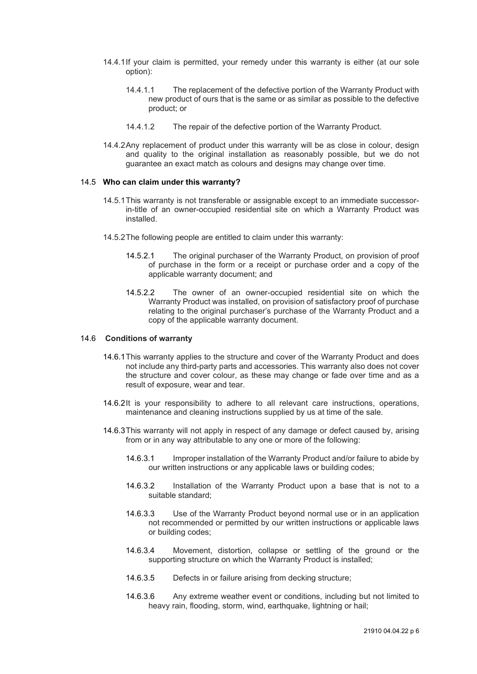- 14.4.1If your claim is permitted, your remedy under this warranty is either (at our sole option):
	- 14.4.1.1 The replacement of the defective portion of the Warranty Product with new product of ours that is the same or as similar as possible to the defective product; or
	- 14.4.1.2 The repair of the defective portion of the Warranty Product.
- 14.4.2Any replacement of product under this warranty will be as close in colour, design and quality to the original installation as reasonably possible, but we do not guarantee an exact match as colours and designs may change over time.

#### 14.5 **Who can claim under this warranty?**

- 14.5.1This warranty is not transferable or assignable except to an immediate successorin-title of an owner-occupied residential site on which a Warranty Product was installed.
- 14.5.2The following people are entitled to claim under this warranty:
	- 14.5.2.1 The original purchaser of the Warranty Product, on provision of proof of purchase in the form or a receipt or purchase order and a copy of the applicable warranty document; and
	- 14.5.2.2 The owner of an owner-occupied residential site on which the Warranty Product was installed, on provision of satisfactory proof of purchase relating to the original purchaser's purchase of the Warranty Product and a copy of the applicable warranty document.

### 14.6 **Conditions of warranty**

- 14.6.1This warranty applies to the structure and cover of the Warranty Product and does not include any third-party parts and accessories. This warranty also does not cover the structure and cover colour, as these may change or fade over time and as a result of exposure, wear and tear.
- 14.6.2It is your responsibility to adhere to all relevant care instructions, operations, maintenance and cleaning instructions supplied by us at time of the sale.
- 14.6.3This warranty will not apply in respect of any damage or defect caused by, arising from or in any way attributable to any one or more of the following:
	- 14.6.3.1 Improper installation of the Warranty Product and/or failure to abide by our written instructions or any applicable laws or building codes;
	- 14.6.3.2 Installation of the Warranty Product upon a base that is not to a suitable standard;
	- 14.6.3.3 Use of the Warranty Product beyond normal use or in an application not recommended or permitted by our written instructions or applicable laws or building codes;
	- 14.6.3.4 Movement, distortion, collapse or settling of the ground or the supporting structure on which the Warranty Product is installed;
	- 14.6.3.5 Defects in or failure arising from decking structure;
	- 14.6.3.6 Any extreme weather event or conditions, including but not limited to heavy rain, flooding, storm, wind, earthquake, lightning or hail;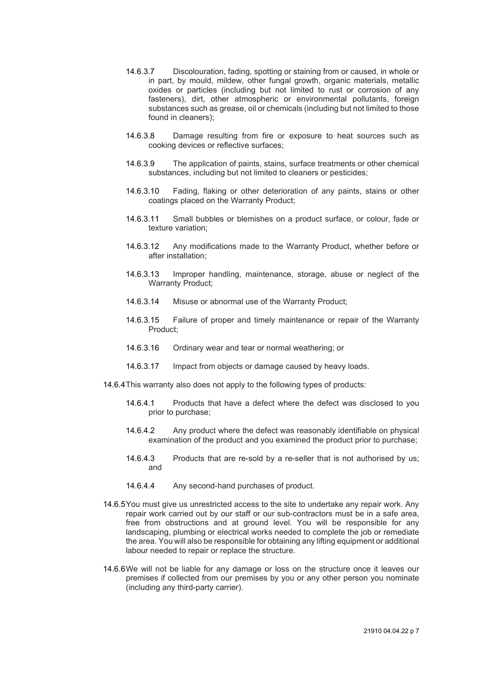- 14.6.3.7 Discolouration, fading, spotting or staining from or caused, in whole or in part, by mould, mildew, other fungal growth, organic materials, metallic oxides or particles (including but not limited to rust or corrosion of any fasteners), dirt, other atmospheric or environmental pollutants, foreign substances such as grease, oil or chemicals (including but not limited to those found in cleaners);
- 14.6.3.8 Damage resulting from fire or exposure to heat sources such as cooking devices or reflective surfaces;
- 14.6.3.9 The application of paints, stains, surface treatments or other chemical substances, including but not limited to cleaners or pesticides;
- 14.6.3.10 Fading, flaking or other deterioration of any paints, stains or other coatings placed on the Warranty Product;
- 14.6.3.11 Small bubbles or blemishes on a product surface, or colour, fade or texture variation;
- 14.6.3.12 Any modifications made to the Warranty Product, whether before or after installation;
- 14.6.3.13 Improper handling, maintenance, storage, abuse or neglect of the Warranty Product;
- 14.6.3.14 Misuse or abnormal use of the Warranty Product;
- 14.6.3.15 Failure of proper and timely maintenance or repair of the Warranty Product;
- 14.6.3.16 Ordinary wear and tear or normal weathering; or
- 14.6.3.17 Impact from objects or damage caused by heavy loads.
- 14.6.4This warranty also does not apply to the following types of products:
	- 14.6.4.1 Products that have a defect where the defect was disclosed to you prior to purchase;
	- 14.6.4.2 Any product where the defect was reasonably identifiable on physical examination of the product and you examined the product prior to purchase;
	- 14.6.4.3 Products that are re-sold by a re-seller that is not authorised by us; and
	- 14.6.4.4 Any second-hand purchases of product.
- 14.6.5You must give us unrestricted access to the site to undertake any repair work. Any repair work carried out by our staff or our sub-contractors must be in a safe area, free from obstructions and at ground level. You will be responsible for any landscaping, plumbing or electrical works needed to complete the job or remediate the area. You will also be responsible for obtaining any lifting equipment or additional labour needed to repair or replace the structure.
- 14.6.6We will not be liable for any damage or loss on the structure once it leaves our premises if collected from our premises by you or any other person you nominate (including any third-party carrier).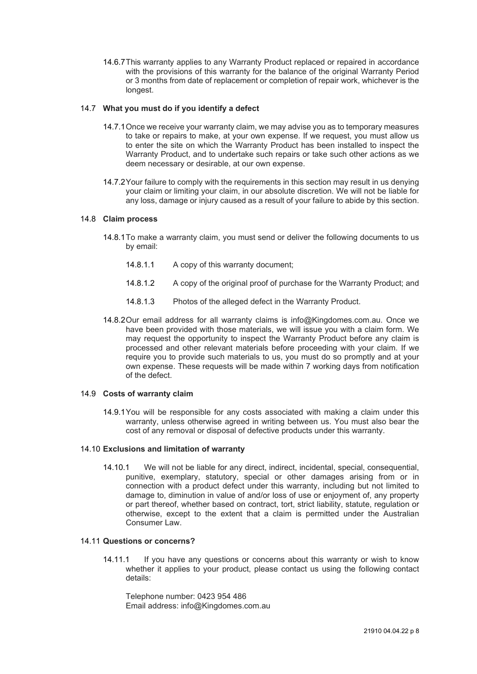14.6.7This warranty applies to any Warranty Product replaced or repaired in accordance with the provisions of this warranty for the balance of the original Warranty Period or 3 months from date of replacement or completion of repair work, whichever is the longest.

## 14.7 **What you must do if you identify a defect**

- 14.7.1Once we receive your warranty claim, we may advise you as to temporary measures to take or repairs to make, at your own expense. If we request, you must allow us to enter the site on which the Warranty Product has been installed to inspect the Warranty Product, and to undertake such repairs or take such other actions as we deem necessary or desirable, at our own expense.
- 14.7.2Your failure to comply with the requirements in this section may result in us denying your claim or limiting your claim, in our absolute discretion. We will not be liable for any loss, damage or injury caused as a result of your failure to abide by this section.

# 14.8 **Claim process**

- 14.8.1To make a warranty claim, you must send or deliver the following documents to us by email:
	- 14.8.1.1 A copy of this warranty document;
	- 14.8.1.2 A copy of the original proof of purchase for the Warranty Product; and
	- 14.8.1.3 Photos of the alleged defect in the Warranty Product.
- 14.8.2Our email address for all warranty claims is info@Kingdomes.com.au. Once we have been provided with those materials, we will issue you with a claim form. We may request the opportunity to inspect the Warranty Product before any claim is processed and other relevant materials before proceeding with your claim. If we require you to provide such materials to us, you must do so promptly and at your own expense. These requests will be made within 7 working days from notification of the defect.

# 14.9 **Costs of warranty claim**

14.9.1You will be responsible for any costs associated with making a claim under this warranty, unless otherwise agreed in writing between us. You must also bear the cost of any removal or disposal of defective products under this warranty.

### 14.10 **Exclusions and limitation of warranty**

14.10.1 We will not be liable for any direct, indirect, incidental, special, consequential, punitive, exemplary, statutory, special or other damages arising from or in connection with a product defect under this warranty, including but not limited to damage to, diminution in value of and/or loss of use or enjoyment of, any property or part thereof, whether based on contract, tort, strict liability, statute, regulation or otherwise, except to the extent that a claim is permitted under the Australian Consumer Law.

# 14.11 **Questions or concerns?**

14.11.1 If you have any questions or concerns about this warranty or wish to know whether it applies to your product, please contact us using the following contact details:

Telephone number: 0423 954 486 Email address: info@Kingdomes.com.au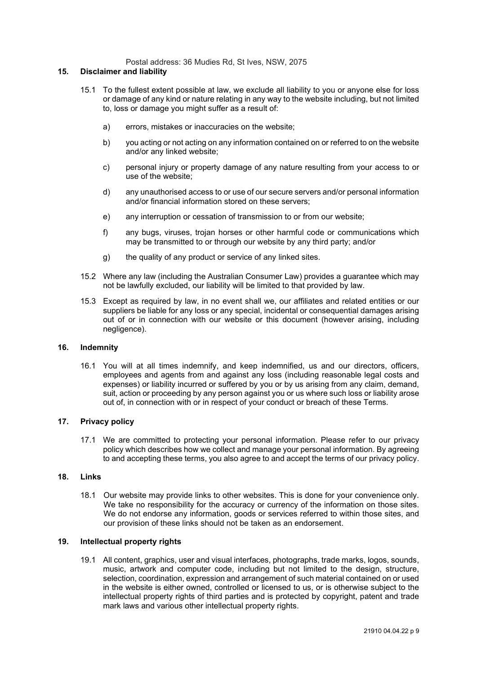Postal address: 36 Mudies Rd, St Ives, NSW, 2075

#### **15. Disclaimer and liability**

- 15.1 To the fullest extent possible at law, we exclude all liability to you or anyone else for loss or damage of any kind or nature relating in any way to the website including, but not limited to, loss or damage you might suffer as a result of:
	- a) errors, mistakes or inaccuracies on the website;
	- b) you acting or not acting on any information contained on or referred to on the website and/or any linked website;
	- c) personal injury or property damage of any nature resulting from your access to or use of the website;
	- d) any unauthorised access to or use of our secure servers and/or personal information and/or financial information stored on these servers;
	- e) any interruption or cessation of transmission to or from our website;
	- f) any bugs, viruses, trojan horses or other harmful code or communications which may be transmitted to or through our website by any third party; and/or
	- g) the quality of any product or service of any linked sites.
- 15.2 Where any law (including the Australian Consumer Law) provides a guarantee which may not be lawfully excluded, our liability will be limited to that provided by law.
- 15.3 Except as required by law, in no event shall we, our affiliates and related entities or our suppliers be liable for any loss or any special, incidental or consequential damages arising out of or in connection with our website or this document (however arising, including negligence).

## **16. Indemnity**

16.1 You will at all times indemnify, and keep indemnified, us and our directors, officers, employees and agents from and against any loss (including reasonable legal costs and expenses) or liability incurred or suffered by you or by us arising from any claim, demand, suit, action or proceeding by any person against you or us where such loss or liability arose out of, in connection with or in respect of your conduct or breach of these Terms.

### **17. Privacy policy**

17.1 We are committed to protecting your personal information. Please refer to our privacy policy which describes how we collect and manage your personal information. By agreeing to and accepting these terms, you also agree to and accept the terms of our privacy policy.

# **18. Links**

18.1 Our website may provide links to other websites. This is done for your convenience only. We take no responsibility for the accuracy or currency of the information on those sites. We do not endorse any information, goods or services referred to within those sites, and our provision of these links should not be taken as an endorsement.

### **19. Intellectual property rights**

19.1 All content, graphics, user and visual interfaces, photographs, trade marks, logos, sounds, music, artwork and computer code, including but not limited to the design, structure, selection, coordination, expression and arrangement of such material contained on or used in the website is either owned, controlled or licensed to us, or is otherwise subject to the intellectual property rights of third parties and is protected by copyright, patent and trade mark laws and various other intellectual property rights.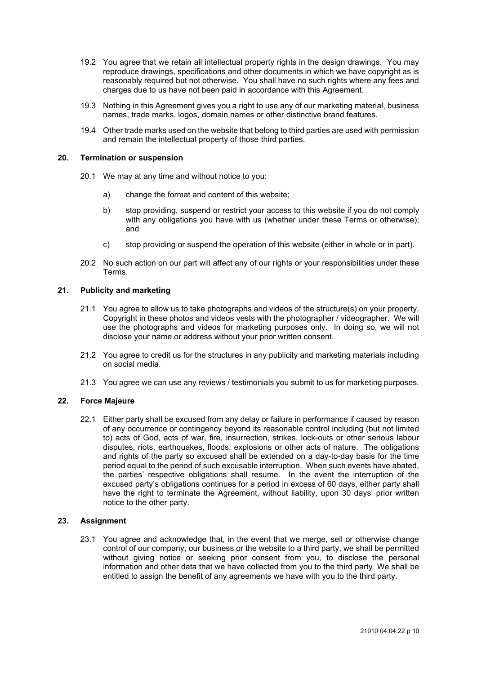- 19.2 You agree that we retain all intellectual property rights in the design drawings. You may reproduce drawings, specifications and other documents in which we have copyright as is reasonably required but not otherwise. You shall have no such rights where any fees and charges due to us have not been paid in accordance with this Agreement.
- 19.3 Nothing in this Agreement gives you a right to use any of our marketing material, business names, trade marks, logos, domain names or other distinctive brand features.
- 19.4 Other trade marks used on the website that belong to third parties are used with permission and remain the intellectual property of those third parties.

## **20. Termination or suspension**

- 20.1 We may at any time and without notice to you:
	- a) change the format and content of this website;
	- b) stop providing, suspend or restrict your access to this website if you do not comply with any obligations you have with us (whether under these Terms or otherwise); and
	- c) stop providing or suspend the operation of this website (either in whole or in part).
- 20.2 No such action on our part will affect any of our rights or your responsibilities under these Terms.

# **21. Publicity and marketing**

- 21.1 You agree to allow us to take photographs and videos of the structure(s) on your property. Copyright in these photos and videos vests with the photographer / videographer. We will use the photographs and videos for marketing purposes only. In doing so, we will not disclose your name or address without your prior written consent.
- 21.2 You agree to credit us for the structures in any publicity and marketing materials including on social media.
- 21.3 You agree we can use any reviews / testimonials you submit to us for marketing purposes.

# **22. Force Majeure**

22.1 Either party shall be excused from any delay or failure in performance if caused by reason of any occurrence or contingency beyond its reasonable control including (but not limited to) acts of God, acts of war, fire, insurrection, strikes, lock-outs or other serious labour disputes, riots, earthquakes, floods, explosions or other acts of nature. The obligations and rights of the party so excused shall be extended on a day-to-day basis for the time period equal to the period of such excusable interruption. When such events have abated, the parties' respective obligations shall resume. In the event the interruption of the excused party's obligations continues for a period in excess of 60 days, either party shall have the right to terminate the Agreement, without liability, upon 30 days' prior written notice to the other party.

## **23. Assignment**

23.1 You agree and acknowledge that, in the event that we merge, sell or otherwise change control of our company, our business or the website to a third party, we shall be permitted without giving notice or seeking prior consent from you, to disclose the personal information and other data that we have collected from you to the third party. We shall be entitled to assign the benefit of any agreements we have with you to the third party.